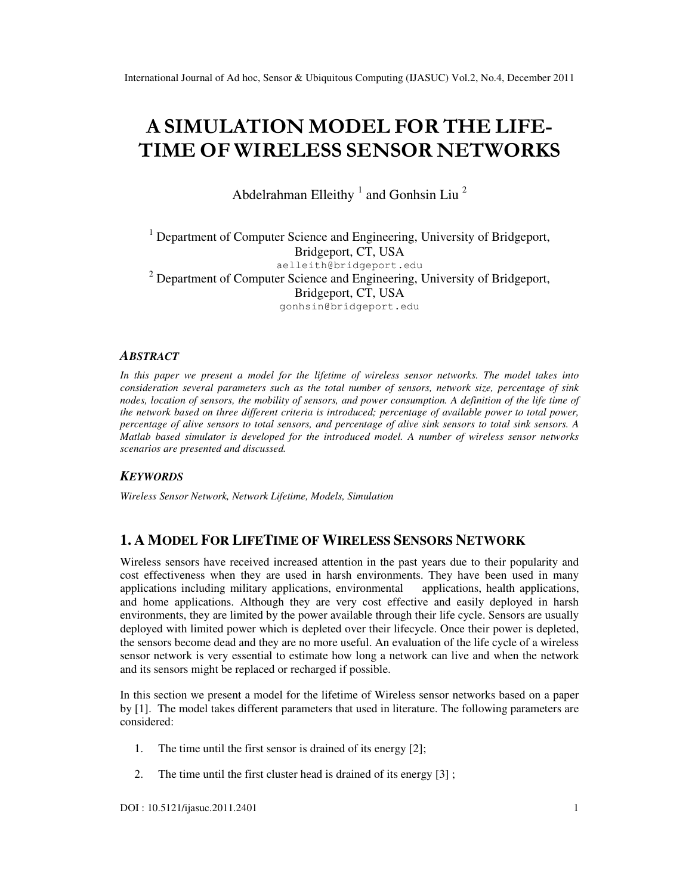# A SIMULATION MODEL FOR THE LIFE-TIME OF WIRELESS SENSOR NETWORKS

Abdelrahman Elleithy  $1$  and Gonhsin Liu  $2$ 

<sup>1</sup> Department of Computer Science and Engineering, University of Bridgeport, Bridgeport, CT, USA aelleith@bridgeport.edu  $2$  Department of Computer Science and Engineering, University of Bridgeport, Bridgeport, CT, USA gonhsin@bridgeport.edu

#### *ABSTRACT*

*In this paper we present a model for the lifetime of wireless sensor networks. The model takes into consideration several parameters such as the total number of sensors, network size, percentage of sink nodes, location of sensors, the mobility of sensors, and power consumption. A definition of the life time of the network based on three different criteria is introduced; percentage of available power to total power, percentage of alive sensors to total sensors, and percentage of alive sink sensors to total sink sensors. A Matlab based simulator is developed for the introduced model. A number of wireless sensor networks scenarios are presented and discussed.* 

#### *KEYWORDS*

*Wireless Sensor Network, Network Lifetime, Models, Simulation* 

## **1. A MODEL FOR LIFETIME OF WIRELESS SENSORS NETWORK**

Wireless sensors have received increased attention in the past years due to their popularity and cost effectiveness when they are used in harsh environments. They have been used in many applications including military applications, environmental applications, health applications, and home applications. Although they are very cost effective and easily deployed in harsh environments, they are limited by the power available through their life cycle. Sensors are usually deployed with limited power which is depleted over their lifecycle. Once their power is depleted, the sensors become dead and they are no more useful. An evaluation of the life cycle of a wireless sensor network is very essential to estimate how long a network can live and when the network and its sensors might be replaced or recharged if possible.

In this section we present a model for the lifetime of Wireless sensor networks based on a paper by [1]. The model takes different parameters that used in literature. The following parameters are considered:

- 1. The time until the first sensor is drained of its energy [2];
- 2. The time until the first cluster head is drained of its energy [3] ;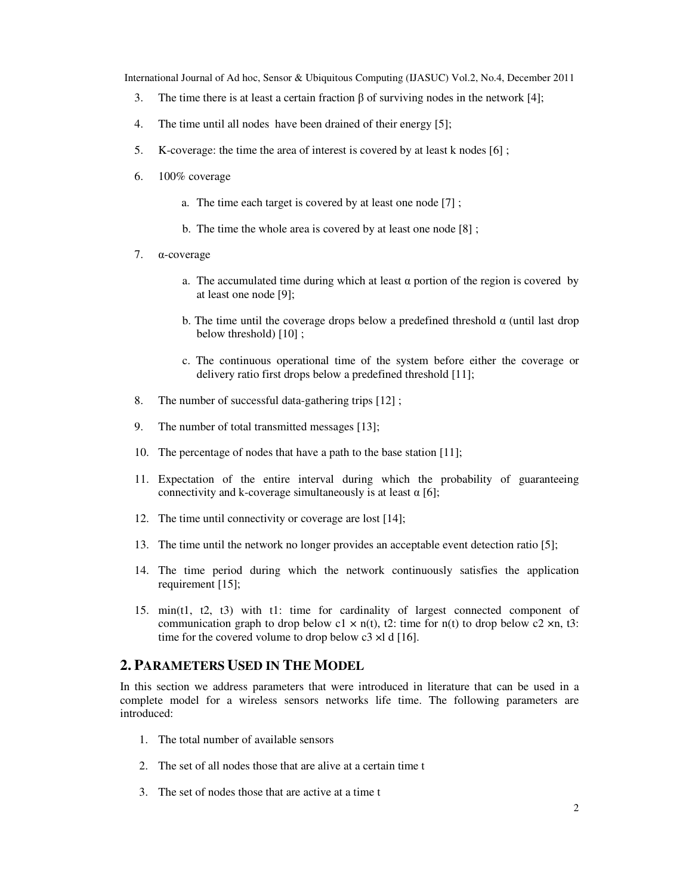- 3. The time there is at least a certain fraction β of surviving nodes in the network [4];
- 4. The time until all nodes have been drained of their energy [5];
- 5. K-coverage: the time the area of interest is covered by at least k nodes [6] ;
- 6. 100% coverage
	- a. The time each target is covered by at least one node [7] ;
	- b. The time the whole area is covered by at least one node [8] ;
- 7. α-coverage
	- a. The accumulated time during which at least  $\alpha$  portion of the region is covered by at least one node [9];
	- b. The time until the coverage drops below a predefined threshold  $\alpha$  (until last drop below threshold) [10];
	- c. The continuous operational time of the system before either the coverage or delivery ratio first drops below a predefined threshold [11];
- 8. The number of successful data-gathering trips [12] ;
- 9. The number of total transmitted messages [13];
- 10. The percentage of nodes that have a path to the base station [11];
- 11. Expectation of the entire interval during which the probability of guaranteeing connectivity and k-coverage simultaneously is at least  $\alpha$  [6];
- 12. The time until connectivity or coverage are lost [14];
- 13. The time until the network no longer provides an acceptable event detection ratio [5];
- 14. The time period during which the network continuously satisfies the application requirement [15];
- 15. min(t1, t2, t3) with t1: time for cardinality of largest connected component of communication graph to drop below c1  $\times$  n(t), t2: time for n(t) to drop below c2  $\times$ n, t3: time for the covered volume to drop below c3 ×l d [16].

## **2. PARAMETERS USED IN THE MODEL**

In this section we address parameters that were introduced in literature that can be used in a complete model for a wireless sensors networks life time. The following parameters are introduced:

- 1. The total number of available sensors
- 2. The set of all nodes those that are alive at a certain time t
- 3. The set of nodes those that are active at a time t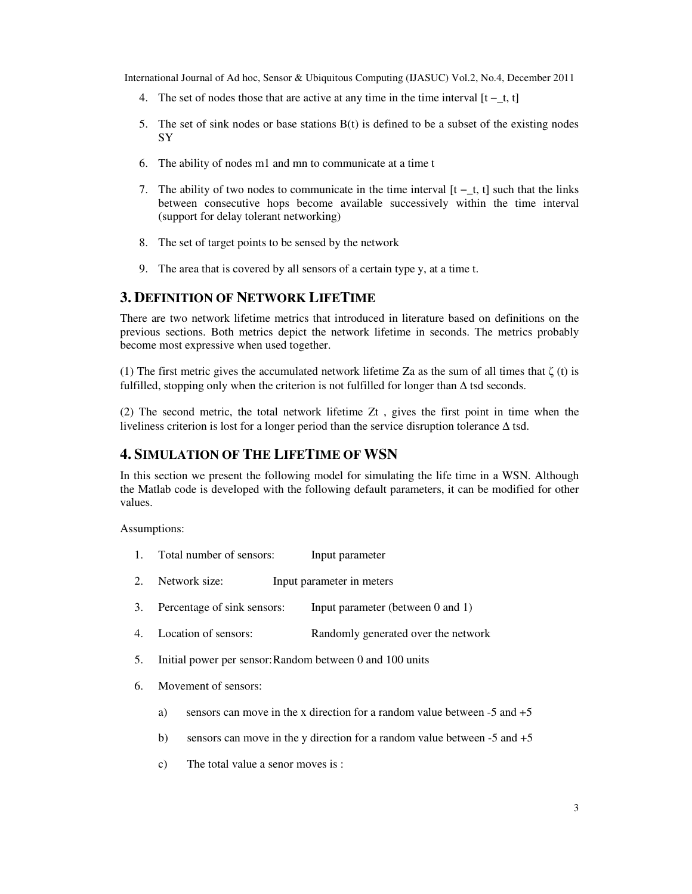- 4. The set of nodes those that are active at any time in the time interval  $[t t, t]$
- 5. The set of sink nodes or base stations B(t) is defined to be a subset of the existing nodes SY
- 6. The ability of nodes m1 and mn to communicate at a time t
- 7. The ability of two nodes to communicate in the time interval [t −\_t, t] such that the links between consecutive hops become available successively within the time interval (support for delay tolerant networking)
- 8. The set of target points to be sensed by the network
- 9. The area that is covered by all sensors of a certain type y, at a time t.

## **3. DEFINITION OF NETWORK LIFETIME**

There are two network lifetime metrics that introduced in literature based on definitions on the previous sections. Both metrics depict the network lifetime in seconds. The metrics probably become most expressive when used together.

(1) The first metric gives the accumulated network lifetime Za as the sum of all times that  $\zeta$  (t) is fulfilled, stopping only when the criterion is not fulfilled for longer than ∆ tsd seconds.

(2) The second metric, the total network lifetime Zt , gives the first point in time when the liveliness criterion is lost for a longer period than the service disruption tolerance ∆ tsd.

## **4. SIMULATION OF THE LIFETIME OF WSN**

In this section we present the following model for simulating the life time in a WSN. Although the Matlab code is developed with the following default parameters, it can be modified for other values.

Assumptions:

- 1. Total number of sensors: Input parameter
- 2. Network size: Input parameter in meters
- 3. Percentage of sink sensors: Input parameter (between 0 and 1)
- 4. Location of sensors: Randomly generated over the network
- 5. Initial power per sensor: Random between 0 and 100 units
- 6. Movement of sensors:
	- a) sensors can move in the x direction for a random value between -5 and +5
	- b) sensors can move in the y direction for a random value between  $-5$  and  $+5$
	- c) The total value a senor moves is :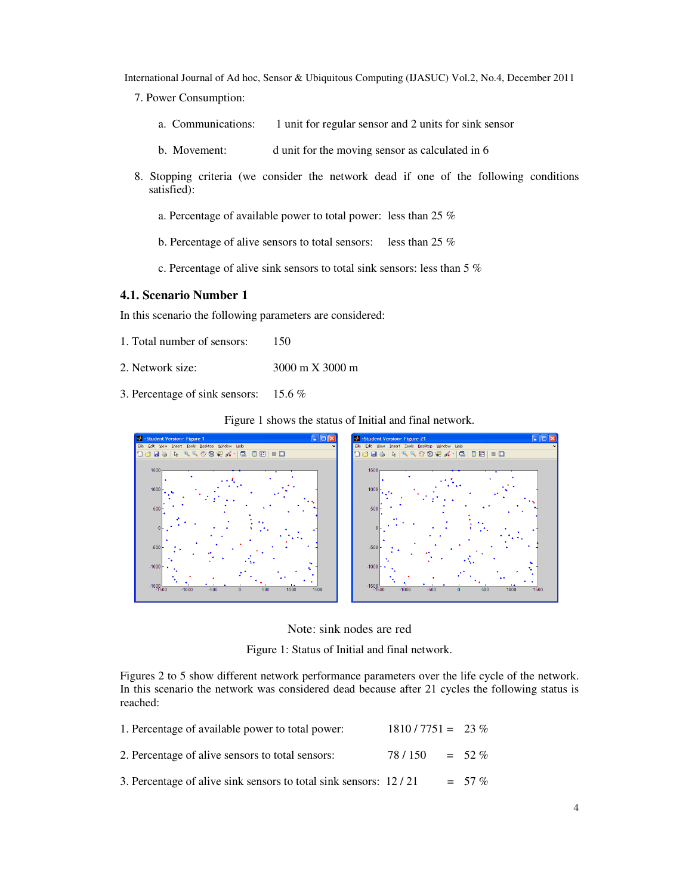- 7. Power Consumption:
	- a. Communications: 1 unit for regular sensor and 2 units for sink sensor
	- b. Movement: d unit for the moving sensor as calculated in 6
- 8. Stopping criteria (we consider the network dead if one of the following conditions satisfied):
	- a. Percentage of available power to total power: less than 25 %
	- b. Percentage of alive sensors to total sensors: less than 25 %
	- c. Percentage of alive sink sensors to total sink sensors: less than 5 %

#### **4.1. Scenario Number 1**

In this scenario the following parameters are considered:

- 1. Total number of sensors: 150
- 2. Network size: 3000 m X 3000 m
- 3. Percentage of sink sensors: 15.6 %

Figure 1 shows the status of Initial and final network.





Figure 1: Status of Initial and final network.

Figures 2 to 5 show different network performance parameters over the life cycle of the network. In this scenario the network was considered dead because after 21 cycles the following status is reached:

| 1. Percentage of available power to total power:                 | $1810 / 7751 = 23 \%$ |           |
|------------------------------------------------------------------|-----------------------|-----------|
| 2. Percentage of alive sensors to total sensors:                 | 78/150                | $= 52 \%$ |
| 3. Percentage of alive sink sensors to total sink sensors: 12/21 |                       | $= 57\%$  |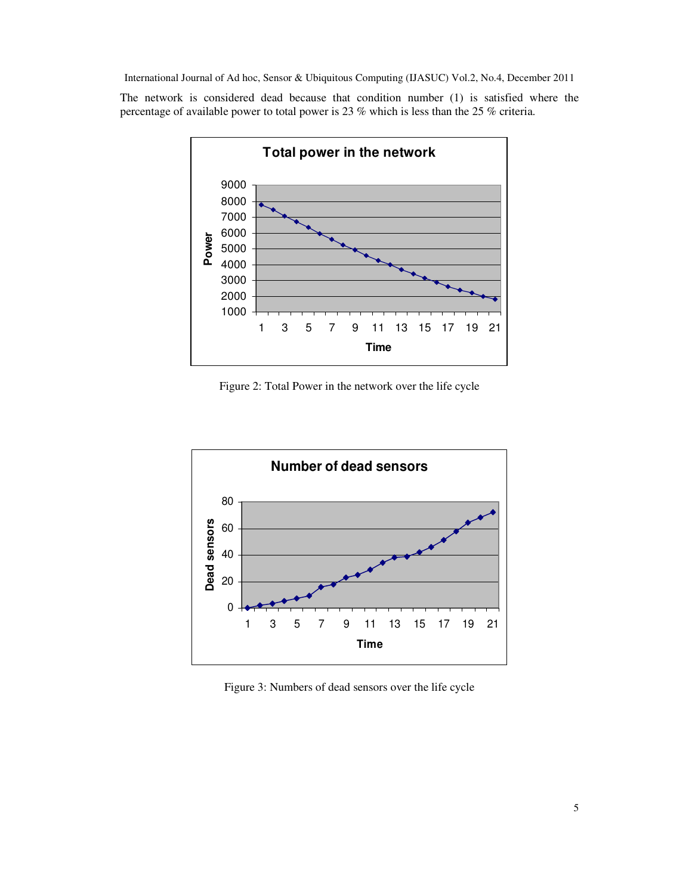

Figure 2: Total Power in the network over the life cycle



Figure 3: Numbers of dead sensors over the life cycle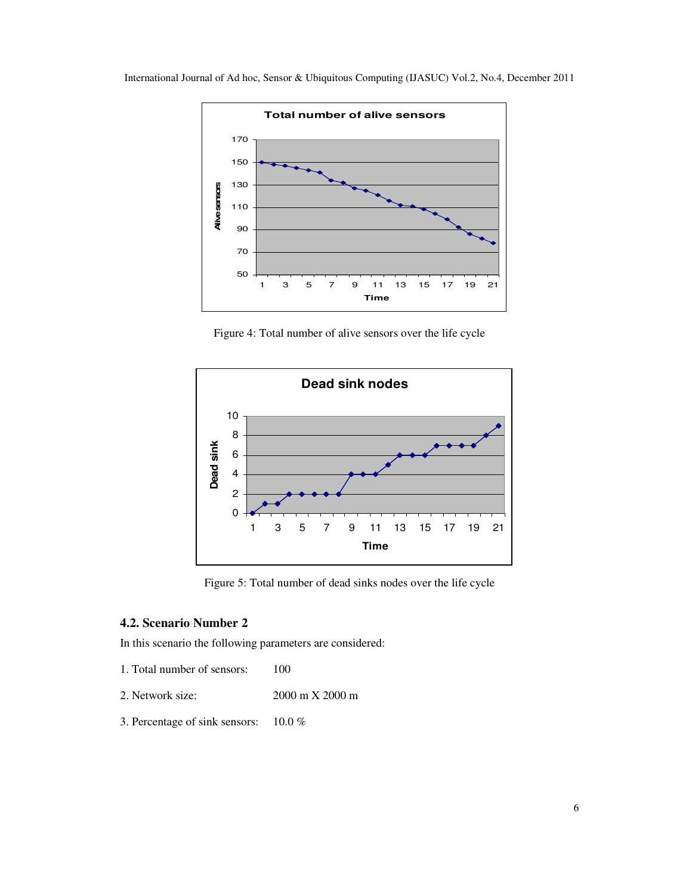





Figure 5: Total number of dead sinks nodes over the life cycle

## **4.2. Scenario Number 2**

In this scenario the following parameters are considered:

- 1. Total number of sensors: 100
- 2. Network size: 2000 m X 2000 m
- 3. Percentage of sink sensors: 10.0 %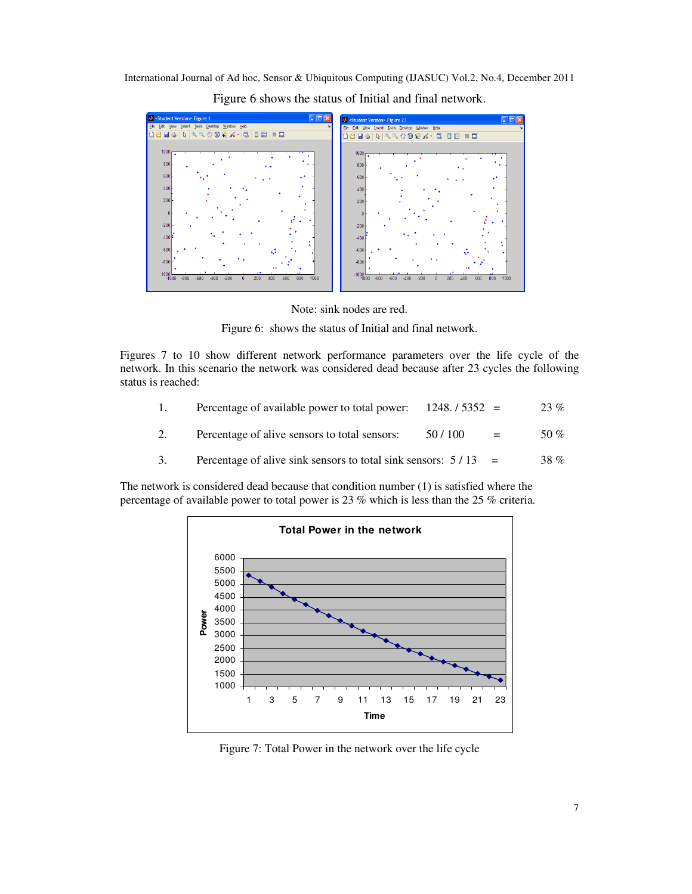

Figure 6 shows the status of Initial and final network.

Note: sink nodes are red.

Figure 6: shows the status of Initial and final network.

Figures 7 to 10 show different network performance parameters over the life cycle of the network. In this scenario the network was considered dead because after 23 cycles the following status is reached:

| $\overline{1}$ . | Percentage of available power to total power: $1248.75352 =$ |               | 23 %          |
|------------------|--------------------------------------------------------------|---------------|---------------|
|                  | Percentage of alive sensors to total sensors:                | 50/100<br>$=$ | 50 %          |
|                  |                                                              |               | $\sim$ $\sim$ |

3. Percentage of alive sink sensors to total sink sensors:  $5/13$  = 38 %



Figure 7: Total Power in the network over the life cycle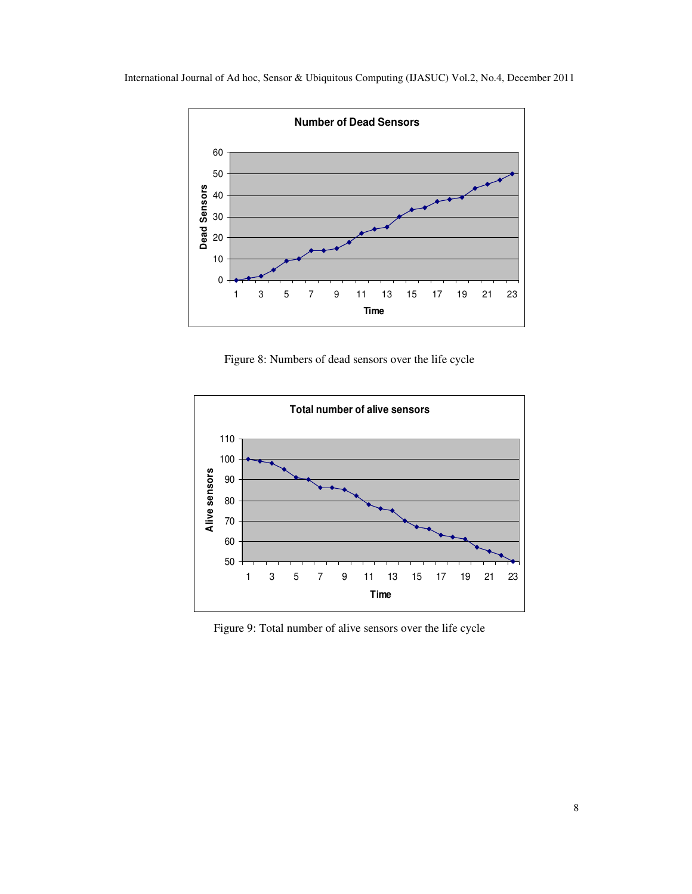



Figure 8: Numbers of dead sensors over the life cycle



Figure 9: Total number of alive sensors over the life cycle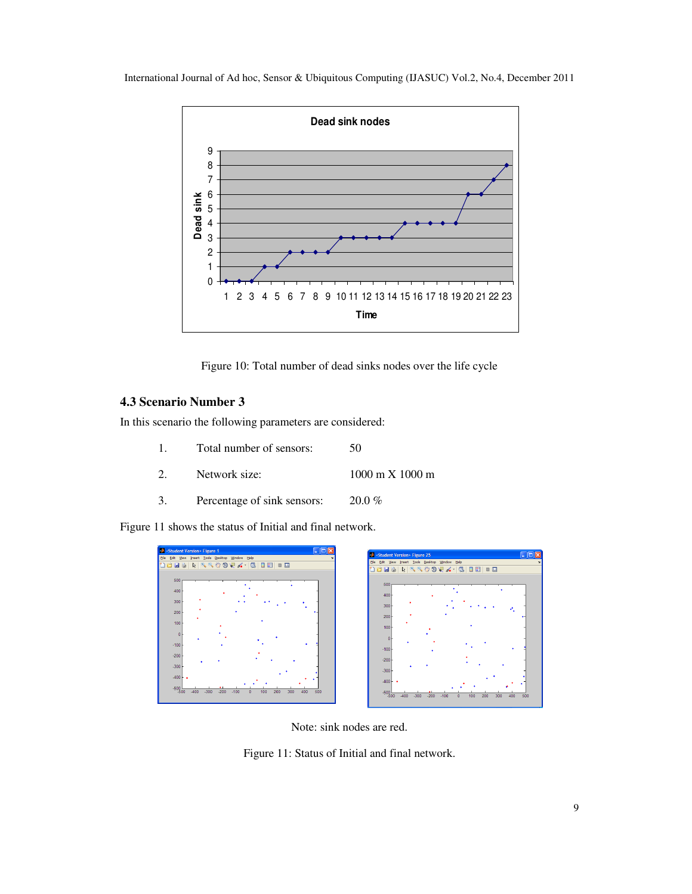

Figure 10: Total number of dead sinks nodes over the life cycle

## **4.3 Scenario Number 3**

In this scenario the following parameters are considered:

- 1. Total number of sensors: 50
- 2. Network size: 1000 m X 1000 m
- 3. Percentage of sink sensors: 20.0 %

Figure 11 shows the status of Initial and final network.



Note: sink nodes are red.

Figure 11: Status of Initial and final network.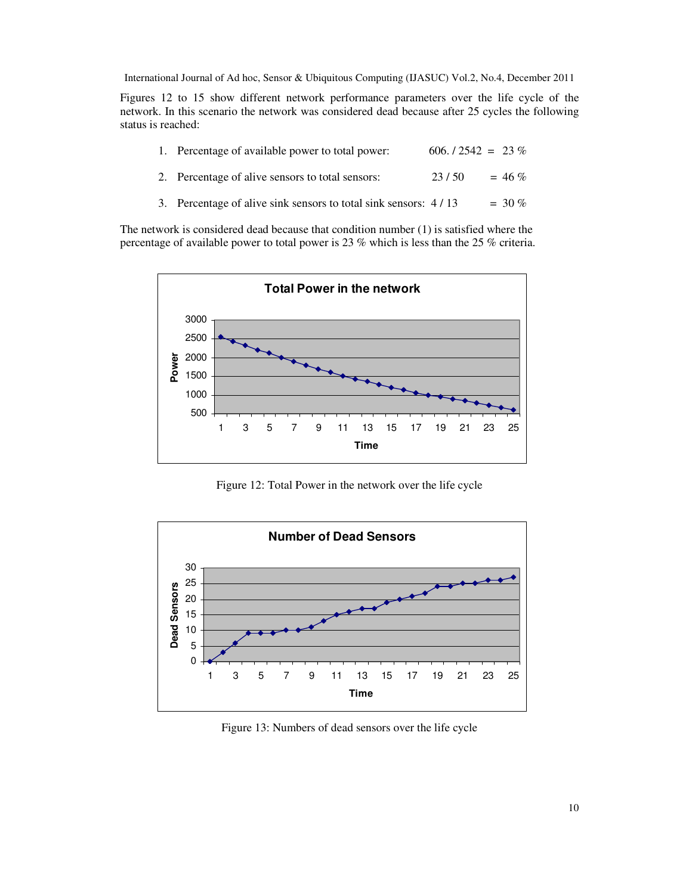Figures 12 to 15 show different network performance parameters over the life cycle of the network. In this scenario the network was considered dead because after 25 cycles the following status is reached:

| 1. Percentage of available power to total power:                | $606. / 2542 = 23\%$ |           |  |
|-----------------------------------------------------------------|----------------------|-----------|--|
| 2. Percentage of alive sensors to total sensors:                | 23/50                | $= 46 \%$ |  |
| 3. Percentage of alive sink sensors to total sink sensors: 4/13 |                      | $=$ 30 %  |  |



Figure 12: Total Power in the network over the life cycle



Figure 13: Numbers of dead sensors over the life cycle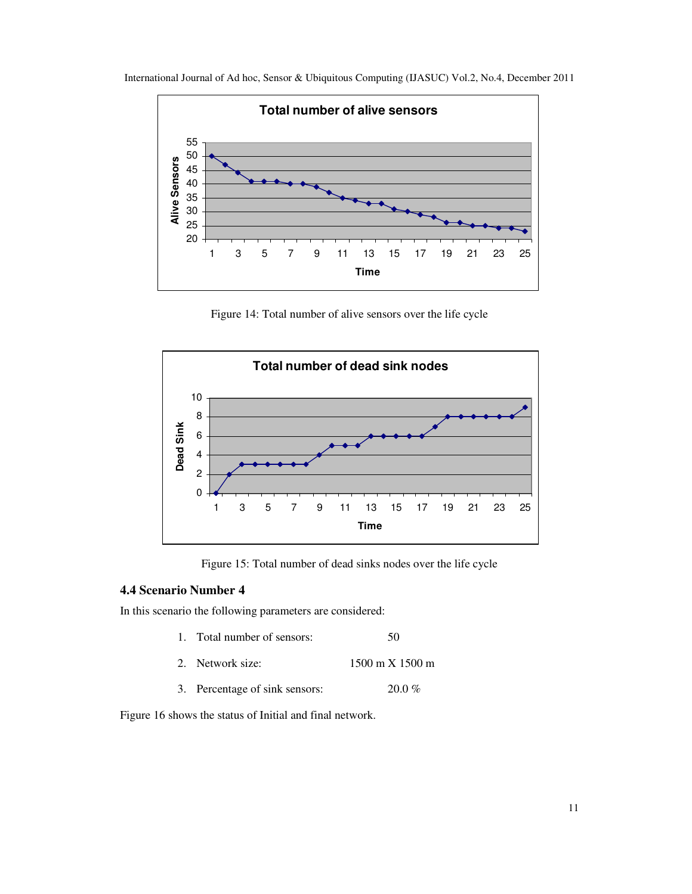

International Journal of Ad hoc, Sensor & Ubiquitous Computing (IJASUC) Vol.2, No.4, December 2011

Figure 14: Total number of alive sensors over the life cycle



Figure 15: Total number of dead sinks nodes over the life cycle

## **4.4 Scenario Number 4**

In this scenario the following parameters are considered:

| 1. Total number of sensors:    | 50                                     |
|--------------------------------|----------------------------------------|
| 2. Network size:               | $1500 \text{ m} \times 1500 \text{ m}$ |
| 3. Percentage of sink sensors: | $20.0 \%$                              |

Figure 16 shows the status of Initial and final network.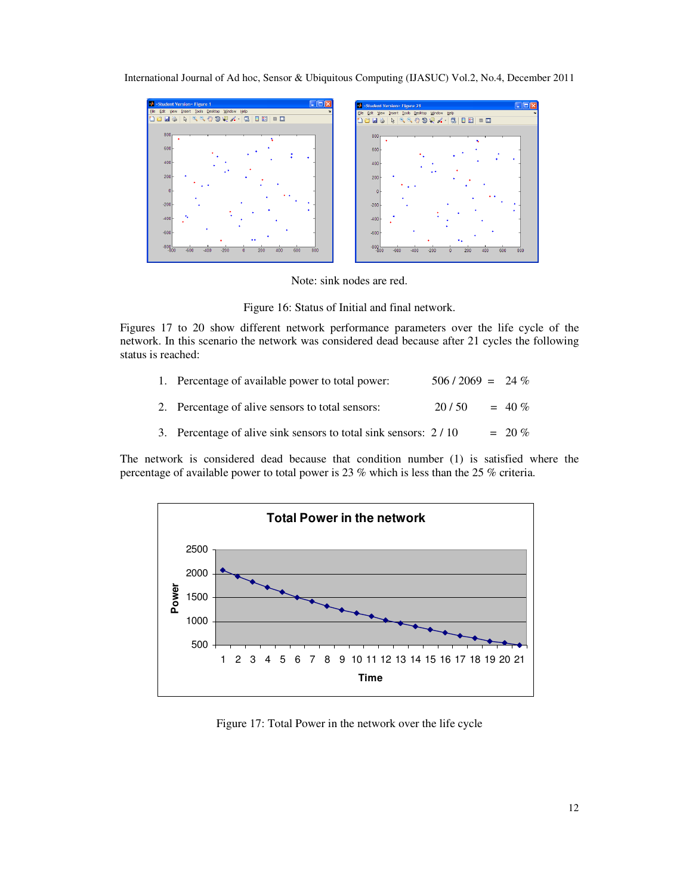

Note: sink nodes are red.



Figures 17 to 20 show different network performance parameters over the life cycle of the network. In this scenario the network was considered dead because after 21 cycles the following status is reached:

| 1. Percentage of available power to total power:                | $506 / 2069 = 24 \%$ |           |
|-----------------------------------------------------------------|----------------------|-----------|
| 2. Percentage of alive sensors to total sensors:                | 20/50                | $= 40 \%$ |
| 3. Percentage of alive sink sensors to total sink sensors: 2/10 |                      | $= 20 \%$ |



Figure 17: Total Power in the network over the life cycle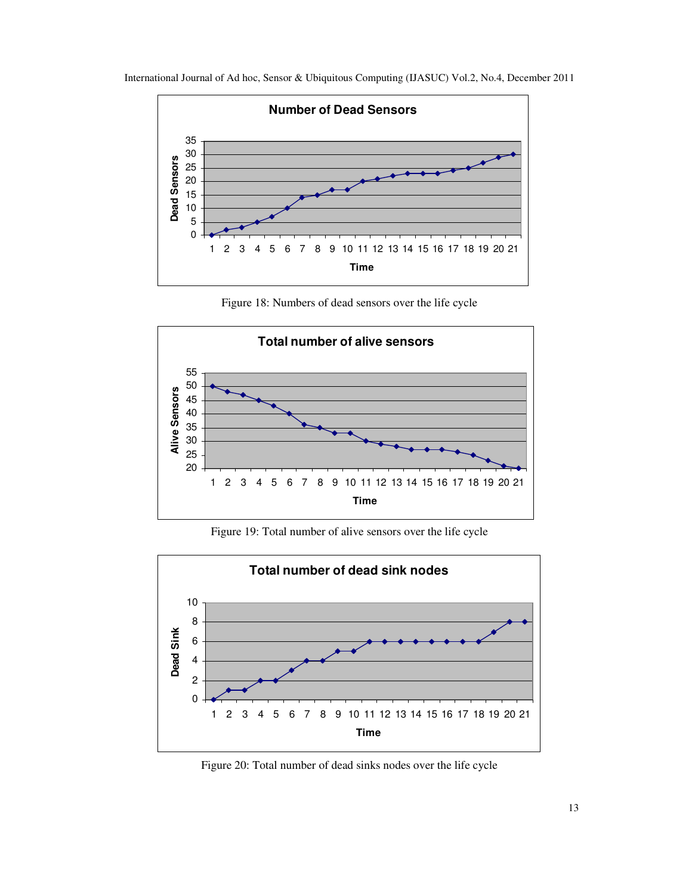



Figure 18: Numbers of dead sensors over the life cycle



Figure 19: Total number of alive sensors over the life cycle



Figure 20: Total number of dead sinks nodes over the life cycle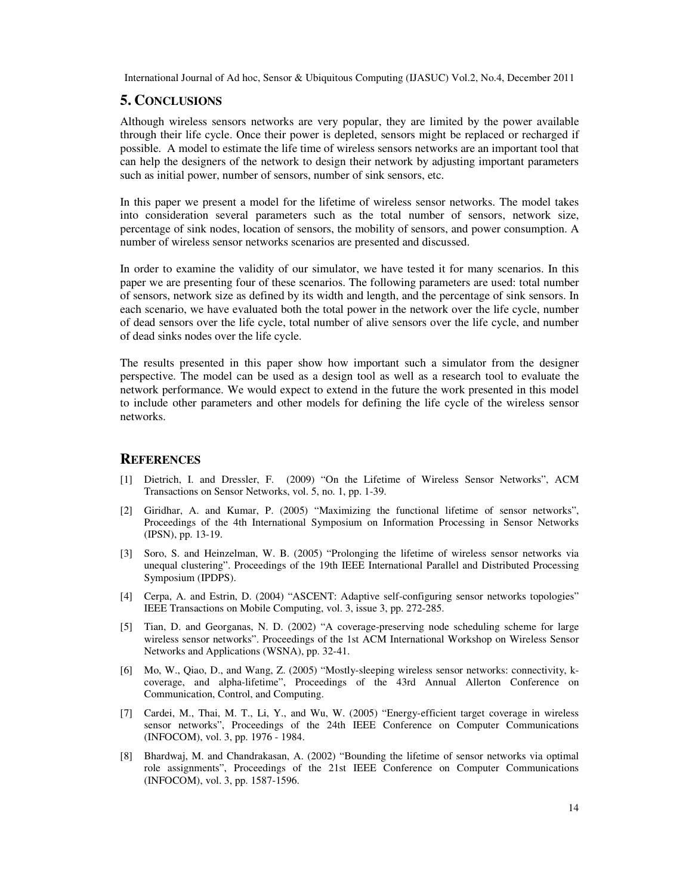#### **5. CONCLUSIONS**

Although wireless sensors networks are very popular, they are limited by the power available through their life cycle. Once their power is depleted, sensors might be replaced or recharged if possible. A model to estimate the life time of wireless sensors networks are an important tool that can help the designers of the network to design their network by adjusting important parameters such as initial power, number of sensors, number of sink sensors, etc.

In this paper we present a model for the lifetime of wireless sensor networks. The model takes into consideration several parameters such as the total number of sensors, network size, percentage of sink nodes, location of sensors, the mobility of sensors, and power consumption. A number of wireless sensor networks scenarios are presented and discussed.

In order to examine the validity of our simulator, we have tested it for many scenarios. In this paper we are presenting four of these scenarios. The following parameters are used: total number of sensors, network size as defined by its width and length, and the percentage of sink sensors. In each scenario, we have evaluated both the total power in the network over the life cycle, number of dead sensors over the life cycle, total number of alive sensors over the life cycle, and number of dead sinks nodes over the life cycle.

The results presented in this paper show how important such a simulator from the designer perspective. The model can be used as a design tool as well as a research tool to evaluate the network performance. We would expect to extend in the future the work presented in this model to include other parameters and other models for defining the life cycle of the wireless sensor networks.

### **REFERENCES**

- [1] Dietrich, I. and Dressler, F. (2009) "On the Lifetime of Wireless Sensor Networks", ACM Transactions on Sensor Networks, vol. 5, no. 1, pp. 1-39.
- [2] Giridhar, A. and Kumar, P. (2005) "Maximizing the functional lifetime of sensor networks", Proceedings of the 4th International Symposium on Information Processing in Sensor Networks (IPSN), pp. 13-19.
- [3] Soro, S. and Heinzelman, W. B. (2005) "Prolonging the lifetime of wireless sensor networks via unequal clustering". Proceedings of the 19th IEEE International Parallel and Distributed Processing Symposium (IPDPS).
- [4] Cerpa, A. and Estrin, D. (2004) "ASCENT: Adaptive self-configuring sensor networks topologies" IEEE Transactions on Mobile Computing, vol. 3, issue 3, pp. 272-285.
- [5] Tian, D. and Georganas, N. D. (2002) "A coverage-preserving node scheduling scheme for large wireless sensor networks". Proceedings of the 1st ACM International Workshop on Wireless Sensor Networks and Applications (WSNA), pp. 32-41.
- [6] Mo, W., Qiao, D., and Wang, Z. (2005) "Mostly-sleeping wireless sensor networks: connectivity, kcoverage, and alpha-lifetime", Proceedings of the 43rd Annual Allerton Conference on Communication, Control, and Computing.
- [7] Cardei, M., Thai, M. T., Li, Y., and Wu, W. (2005) "Energy-efficient target coverage in wireless sensor networks", Proceedings of the 24th IEEE Conference on Computer Communications (INFOCOM), vol. 3, pp. 1976 - 1984.
- [8] Bhardwaj, M. and Chandrakasan, A. (2002) "Bounding the lifetime of sensor networks via optimal role assignments", Proceedings of the 21st IEEE Conference on Computer Communications (INFOCOM), vol. 3, pp. 1587-1596.